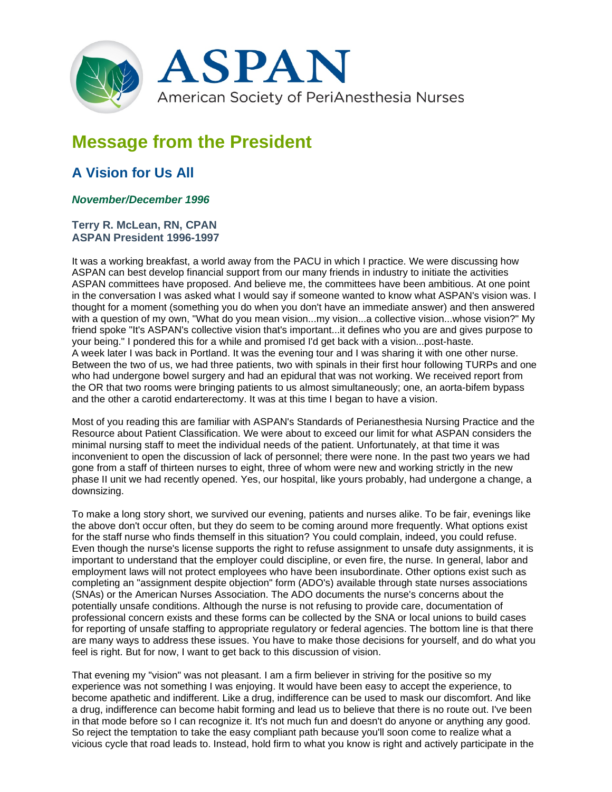

## **Message from the President**

## **A Vision for Us All**

## *November/December 1996*

## **Terry R. McLean, RN, CPAN ASPAN President 1996-1997**

It was a working breakfast, a world away from the PACU in which I practice. We were discussing how ASPAN can best develop financial support from our many friends in industry to initiate the activities ASPAN committees have proposed. And believe me, the committees have been ambitious. At one point in the conversation I was asked what I would say if someone wanted to know what ASPAN's vision was. I thought for a moment (something you do when you don't have an immediate answer) and then answered with a question of my own, "What do you mean vision...my vision...a collective vision...whose vision?" My friend spoke "It's ASPAN's collective vision that's important...it defines who you are and gives purpose to your being." I pondered this for a while and promised I'd get back with a vision...post-haste. A week later I was back in Portland. It was the evening tour and I was sharing it with one other nurse. Between the two of us, we had three patients, two with spinals in their first hour following TURPs and one who had undergone bowel surgery and had an epidural that was not working. We received report from the OR that two rooms were bringing patients to us almost simultaneously; one, an aorta-bifem bypass and the other a carotid endarterectomy. It was at this time I began to have a vision.

Most of you reading this are familiar with ASPAN's Standards of Perianesthesia Nursing Practice and the Resource about Patient Classification. We were about to exceed our limit for what ASPAN considers the minimal nursing staff to meet the individual needs of the patient. Unfortunately, at that time it was inconvenient to open the discussion of lack of personnel; there were none. In the past two years we had gone from a staff of thirteen nurses to eight, three of whom were new and working strictly in the new phase II unit we had recently opened. Yes, our hospital, like yours probably, had undergone a change, a downsizing.

To make a long story short, we survived our evening, patients and nurses alike. To be fair, evenings like the above don't occur often, but they do seem to be coming around more frequently. What options exist for the staff nurse who finds themself in this situation? You could complain, indeed, you could refuse. Even though the nurse's license supports the right to refuse assignment to unsafe duty assignments, it is important to understand that the employer could discipline, or even fire, the nurse. In general, labor and employment laws will not protect employees who have been insubordinate. Other options exist such as completing an "assignment despite objection" form (ADO's) available through state nurses associations (SNAs) or the American Nurses Association. The ADO documents the nurse's concerns about the potentially unsafe conditions. Although the nurse is not refusing to provide care, documentation of professional concern exists and these forms can be collected by the SNA or local unions to build cases for reporting of unsafe staffing to appropriate regulatory or federal agencies. The bottom line is that there are many ways to address these issues. You have to make those decisions for yourself, and do what you feel is right. But for now, I want to get back to this discussion of vision.

That evening my "vision" was not pleasant. I am a firm believer in striving for the positive so my experience was not something I was enjoying. It would have been easy to accept the experience, to become apathetic and indifferent. Like a drug, indifference can be used to mask our discomfort. And like a drug, indifference can become habit forming and lead us to believe that there is no route out. I've been in that mode before so I can recognize it. It's not much fun and doesn't do anyone or anything any good. So reject the temptation to take the easy compliant path because you'll soon come to realize what a vicious cycle that road leads to. Instead, hold firm to what you know is right and actively participate in the